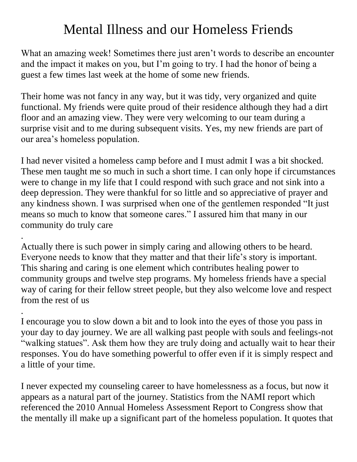## Mental Illness and our Homeless Friends

What an amazing week! Sometimes there just aren't words to describe an encounter and the impact it makes on you, but I'm going to try. I had the honor of being a guest a few times last week at the home of some new friends.

Their home was not fancy in any way, but it was tidy, very organized and quite functional. My friends were quite proud of their residence although they had a dirt floor and an amazing view. They were very welcoming to our team during a surprise visit and to me during subsequent visits. Yes, my new friends are part of our area's homeless population.

I had never visited a homeless camp before and I must admit I was a bit shocked. These men taught me so much in such a short time. I can only hope if circumstances were to change in my life that I could respond with such grace and not sink into a deep depression. They were thankful for so little and so appreciative of prayer and any kindness shown. I was surprised when one of the gentlemen responded "It just means so much to know that someone cares." I assured him that many in our community do truly care

Actually there is such power in simply caring and allowing others to be heard. Everyone needs to know that they matter and that their life's story is important. This sharing and caring is one element which contributes healing power to community groups and twelve step programs. My homeless friends have a special way of caring for their fellow street people, but they also welcome love and respect from the rest of us

.

.

I encourage you to slow down a bit and to look into the eyes of those you pass in your day to day journey. We are all walking past people with souls and feelings-not "walking statues". Ask them how they are truly doing and actually wait to hear their responses. You do have something powerful to offer even if it is simply respect and a little of your time.

I never expected my counseling career to have homelessness as a focus, but now it appears as a natural part of the journey. Statistics from the NAMI report which referenced the 2010 Annual Homeless Assessment Report to Congress show that the mentally ill make up a significant part of the homeless population. It quotes that